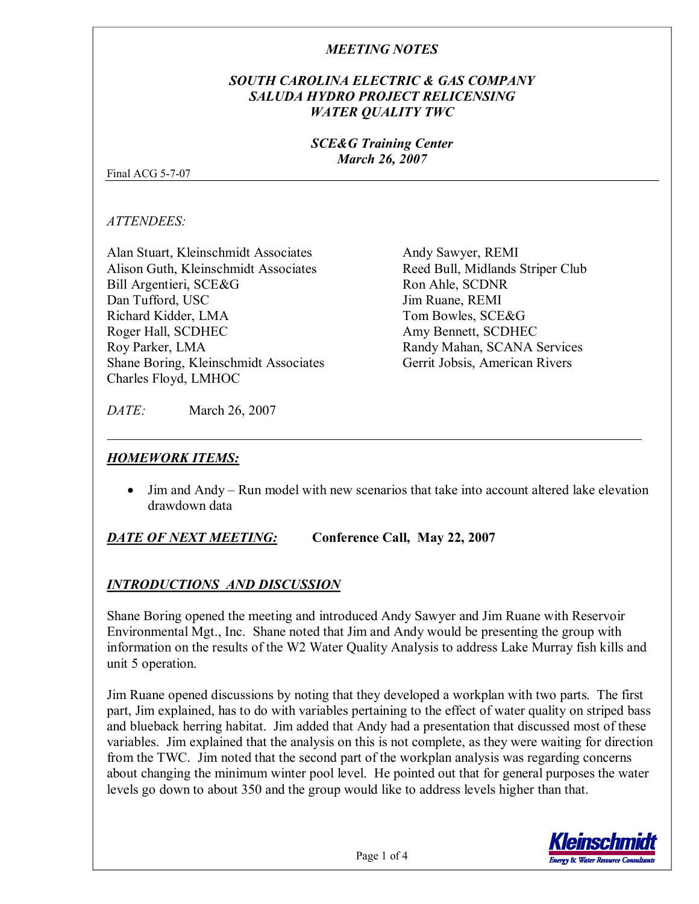## *SOUTH CAROLINA ELECTRIC & GAS COMPANY SALUDA HYDRO PROJECT RELICENSING WATER QUALITY TWC*

#### *SCE&G Training Center March 26, 2007*

Final ACG  $5-7-07$ 

*ATTENDEES:*

Alan Stuart, Kleinschmidt Associates Alison Guth, Kleinschmidt Associates Bill Argentieri, SCE&G Dan Tufford, USC Richard Kidder, LMA Roger Hall, SCDHEC Roy Parker, LMA Shane Boring, Kleinschmidt Associates Charles Floyd, LMHOC

Andy Sawyer, REMI Reed Bull, Midlands Striper Club Ron Ahle, SCDNR Jim Ruane, REMI Tom Bowles, SCE&G Amy Bennett, SCDHEC Randy Mahan, SCANA Services Gerrit Jobsis, American Rivers

*DATE:* March 26, 2007

# *HOMEWORK ITEMS:*

• Jim and Andy – Run model with new scenarios that take into account altered lake elevation drawdown data

# *DATE OF NEXT MEETING:* **Conference Call, May 22, 2007**

# *INTRODUCTIONS AND DISCUSSION*

Shane Boring opened the meeting and introduced Andy Sawyer and Jim Ruane with Reservoir Environmental Mgt., Inc. Shane noted that Jim and Andy would be presenting the group with information on the results of the W2 Water Quality Analysis to address Lake Murray fish kills and unit 5 operation.

Jim Ruane opened discussions by noting that they developed a workplan with two parts. The first part, Jim explained, has to do with variables pertaining to the effect of water quality on striped bass and blueback herring habitat. Jim added that Andy had a presentation that discussed most of these variables. Jim explained that the analysis on this is not complete, as they were waiting for direction from the TWC. Jim noted that the second part of the workplan analysis was regarding concerns about changing the minimum winter pool level. He pointed out that for general purposes the water levels go down to about 350 and the group would like to address levels higher than that.

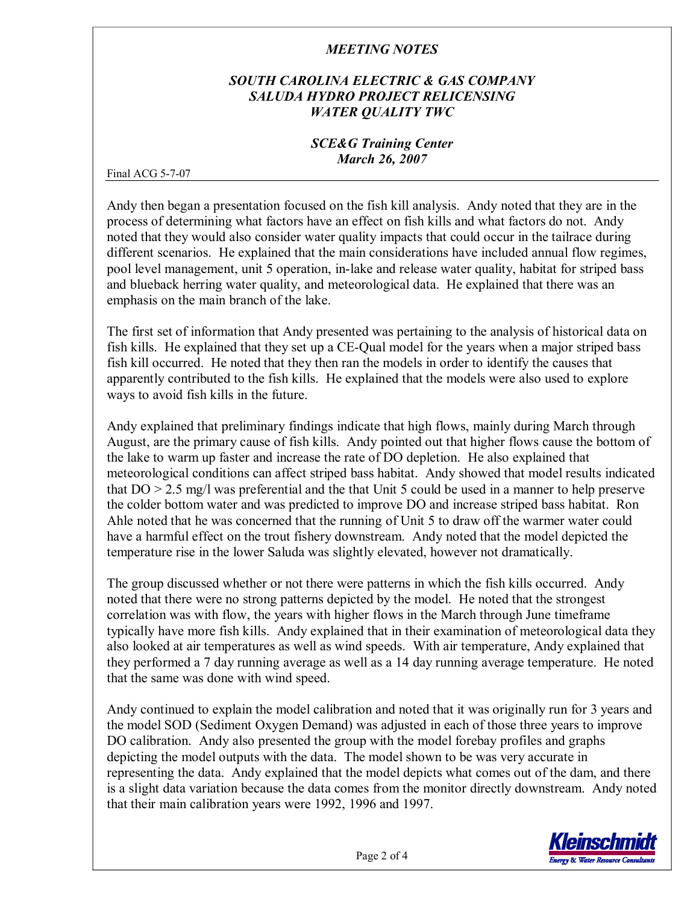## *SOUTH CAROLINA ELECTRIC & GAS COMPANY SALUDA HYDRO PROJECT RELICENSING WATER QUALITY TWC*

#### *SCE&G Training Center March 26, 2007*

Final ACG  $5-7-07$ 

Andy then began a presentation focused on the fish kill analysis. Andy noted that they are in the process of determining what factors have an effect on fish kills and what factors do not. Andy noted that they would also consider water quality impacts that could occur in the tailrace during different scenarios. He explained that the main considerations have included annual flow regimes, pool level management, unit 5 operation, in-lake and release water quality, habitat for striped bass and blueback herring water quality, and meteorological data. He explained that there was an emphasis on the main branch of the lake.

The first set of information that Andy presented was pertaining to the analysis of historical data on fish kills. He explained that they set up a CE-Qual model for the years when a major striped bass fish kill occurred. He noted that they then ran the models in order to identify the causes that apparently contributed to the fish kills. He explained that the models were also used to explore ways to avoid fish kills in the future.

Andy explained that preliminary findings indicate that high flows, mainly during March through August, are the primary cause of fish kills. Andy pointed out that higher flows cause the bottom of the lake to warm up faster and increase the rate of DO depletion. He also explained that meteorological conditions can affect striped bass habitat. Andy showed that model results indicated that DO > 2.5 mg/l was preferential and the that Unit 5 could be used in a manner to help preserve the colder bottom water and was predicted to improve DO and increase striped bass habitat. Ron Ahle noted that he was concerned that the running of Unit 5 to draw off the warmer water could have a harmful effect on the trout fishery downstream. Andy noted that the model depicted the temperature rise in the lower Saluda was slightly elevated, however not dramatically.

The group discussed whether or not there were patterns in which the fish kills occurred. Andy noted that there were no strong patterns depicted by the model. He noted that the strongest correlation was with flow, the years with higher flows in the March through June timeframe typically have more fish kills. Andy explained that in their examination of meteorological data they also looked at air temperatures as well as wind speeds. With air temperature, Andy explained that they performed a 7 day running average as well as a 14 day running average temperature. He noted that the same was done with wind speed.

Andy continued to explain the model calibration and noted that it was originally run for 3 years and the model SOD (Sediment Oxygen Demand) was adjusted in each of those three years to improve DO calibration. Andy also presented the group with the model forebay profiles and graphs depicting the model outputs with the data. The model shown to be was very accurate in representing the data. Andy explained that the model depicts what comes out of the dam, and there is a slight data variation because the data comes from the monitor directly downstream. Andy noted that their main calibration years were 1992, 1996 and 1997.

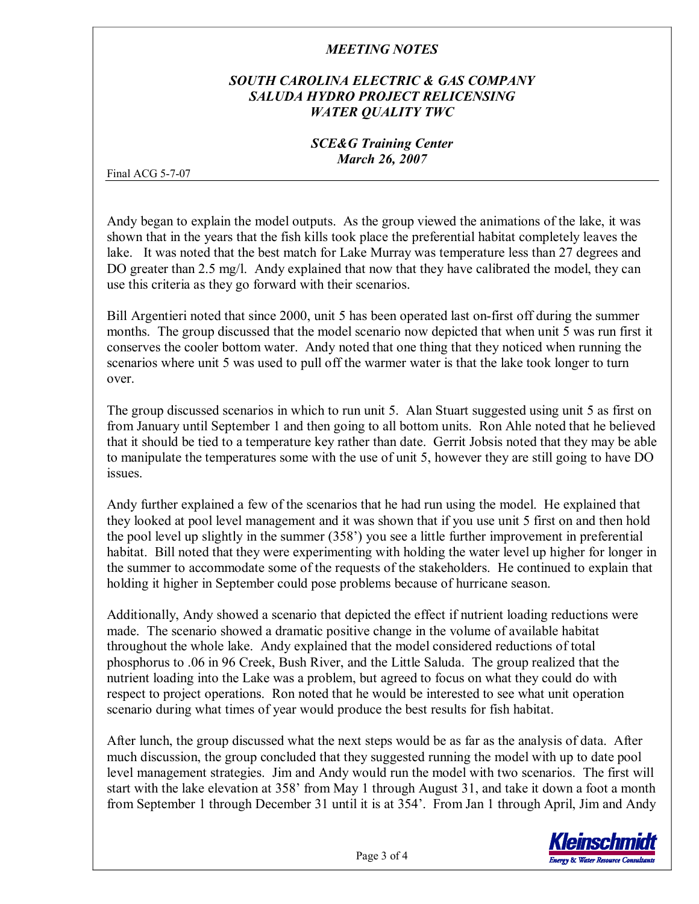## *SOUTH CAROLINA ELECTRIC & GAS COMPANY SALUDA HYDRO PROJECT RELICENSING WATER QUALITY TWC*

#### *SCE&G Training Center March 26, 2007*

Final ACG  $5-7-07$ 

Andy began to explain the model outputs. As the group viewed the animations of the lake, it was shown that in the years that the fish kills took place the preferential habitat completely leaves the lake. It was noted that the best match for Lake Murray was temperature less than 27 degrees and DO greater than 2.5 mg/l. Andy explained that now that they have calibrated the model, they can use this criteria as they go forward with their scenarios.

Bill Argentieri noted that since 2000, unit 5 has been operated last on-first off during the summer months. The group discussed that the model scenario now depicted that when unit 5 was run first it conserves the cooler bottom water. Andy noted that one thing that they noticed when running the scenarios where unit 5 was used to pull off the warmer water is that the lake took longer to turn over.

The group discussed scenarios in which to run unit 5. Alan Stuart suggested using unit 5 as first on from January until September 1 and then going to all bottom units. Ron Ahle noted that he believed that it should be tied to a temperature key rather than date. Gerrit Jobsis noted that they may be able to manipulate the temperatures some with the use of unit 5, however they are still going to have DO issues.

Andy further explained a few of the scenarios that he had run using the model. He explained that they looked at pool level management and it was shown that if you use unit 5 first on and then hold the pool level up slightly in the summer (358') you see a little further improvement in preferential habitat. Bill noted that they were experimenting with holding the water level up higher for longer in the summer to accommodate some of the requests of the stakeholders. He continued to explain that holding it higher in September could pose problems because of hurricane season.

Additionally, Andy showed a scenario that depicted the effect if nutrient loading reductions were made. The scenario showed a dramatic positive change in the volume of available habitat throughout the whole lake. Andy explained that the model considered reductions of total phosphorus to .06 in 96 Creek, Bush River, and the Little Saluda. The group realized that the nutrient loading into the Lake was a problem, but agreed to focus on what they could do with respect to project operations. Ron noted that he would be interested to see what unit operation scenario during what times of year would produce the best results for fish habitat.

After lunch, the group discussed what the next steps would be as far as the analysis of data. After much discussion, the group concluded that they suggested running the model with up to date pool level management strategies. Jim and Andy would run the model with two scenarios. The first will start with the lake elevation at 358' from May 1 through August 31, and take it down a foot a month from September 1 through December 31 until it is at 354'. From Jan 1 through April, Jim and Andy